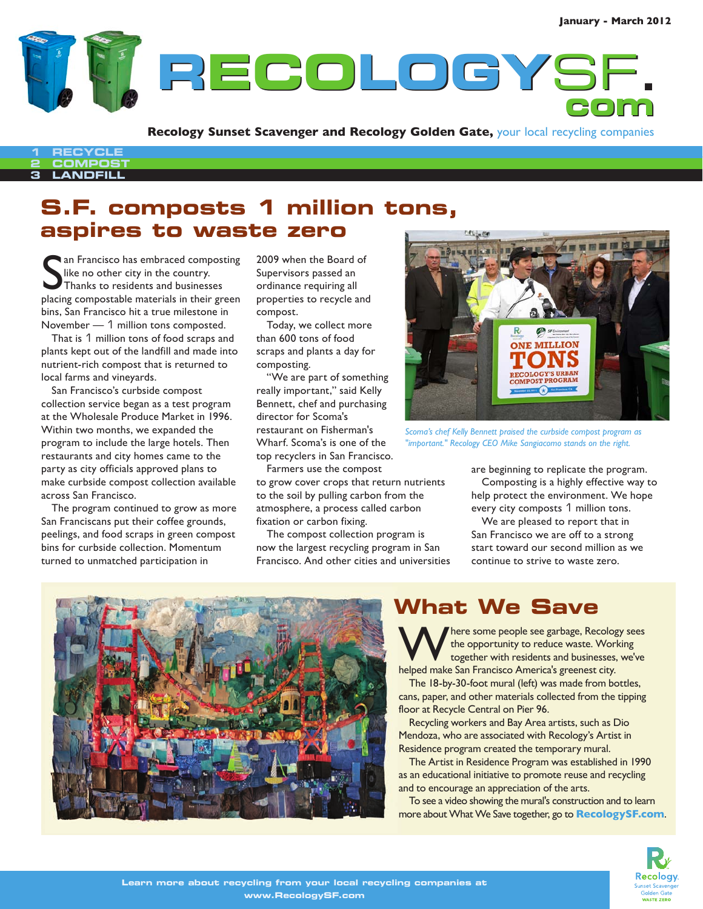**RECOLOGY ECOLOGY**SF**. com**

**Recology Sunset Scavenger and Recology Golden Gate,** your local recycling companies

| 1. | <b>RECYCLE</b> |
|----|----------------|
|    | COMPOST        |
|    | 3 LANDFILL     |

#### **S.F. composts 1 million tons, aspires to waste zero**

San Francisco has embraced composting<br>like no other city in the country.<br>Thanks to residents and businesses<br>placing compostable materials in their green an Francisco has embraced composting like no other city in the country. Thanks to residents and businesses bins, San Francisco hit a true milestone in November — 1 million tons composted.

That is 1 million tons of food scraps and plants kept out of the landfill and made into nutrient-rich compost that is returned to local farms and vineyards.

San Francisco's curbside compost collection service began as a test program at the Wholesale Produce Market in 1996. Within two months, we expanded the program to include the large hotels. Then restaurants and city homes came to the party as city officials approved plans to make curbside compost collection available across San Francisco.

The program continued to grow as more San Franciscans put their coffee grounds, peelings, and food scraps in green compost bins for curbside collection. Momentum turned to unmatched participation in

2009 when the Board of Supervisors passed an ordinance requiring all properties to recycle and compost.

Today, we collect more than 600 tons of food scraps and plants a day for composting.

"We are part of something really important," said Kelly Bennett, chef and purchasing director for Scoma's restaurant on Fisherman's Wharf. Scoma's is one of the top recyclers in San Francisco.

Farmers use the compost to grow cover crops that return nutrients to the soil by pulling carbon from the atmosphere, a process called carbon fixation or carbon fixing.

The compost collection program is now the largest recycling program in San Francisco. And other cities and universities



*Scoma's chef Kelly Bennett praised the curbside compost program as "important." Recology CEO Mike Sangiacomo stands on the right.*

are beginning to replicate the program.

Composting is a highly effective way to help protect the environment. We hope every city composts 1 million tons.

We are pleased to report that in San Francisco we are off to a strong start toward our second million as we continue to strive to waste zero.



#### **What We Save**

here some people see garbage, Recology sees the opportunity to reduce waste. Working together with residents and businesses, we've helped make San Francisco America's greenest city.

The 18-by-30-foot mural (left) was made from bottles, cans, paper, and other materials collected from the tipping floor at Recycle Central on Pier 96.

Recycling workers and Bay Area artists, such as Dio Mendoza, who are associated with Recology's Artist in Residence program created the temporary mural.

The Artist in Residence Program was established in 1990 as an educational initiative to promote reuse and recycling and to encourage an appreciation of the arts.

To see a video showing the mural's construction and to learn more about What We Save together, go to **RecologySF.com**.